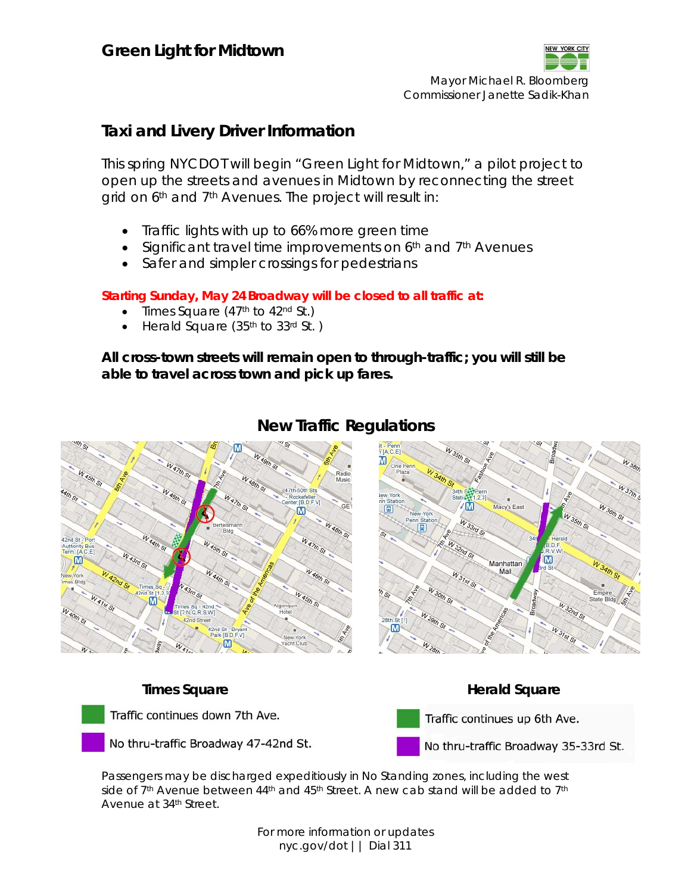

Mayor Michael R. Bloomberg Commissioner Janette Sadik-Khan

# **Taxi and Livery Driver Information**

This spring NYCDOT will begin "Green Light for Midtown," a pilot project to open up the streets and avenues in Midtown by reconnecting the street grid on 6<sup>th</sup> and 7<sup>th</sup> Avenues. The project will result in:

- Traffic lights with up to 66% more green time
- Significant travel time improvements on  $6<sup>th</sup>$  and  $7<sup>th</sup>$  Avenues
- Safer and simpler crossings for pedestrians

## **Starting Sunday, May 24 Broadway will be closed to all traffic at:**

- Times Square  $(47<sup>th</sup>$  to  $42<sup>nd</sup>$  St.)
- Herald Square (35th to 33rd St. )

**All cross-town streets will remain open to through-traffic; you will still be able to travel across town and pick up fares.** 



# **New Traffic Regulations**



Traffic continues down 7th Ave.

No thru-traffic Broadway 47-42nd St.

**Times Square Contract Contract Contract Contract Contract Contract Contract Contract Contract Contract Contract Contract Contract Contract Contract Contract Contract Contract Contract Contract Contract Contract Contract C** 



No thru-traffic Broadway 35-33rd St.

Passengers may be discharged expeditiously in No Standing zones, including the west side of 7<sup>th</sup> Avenue between  $44$ <sup>th</sup> and  $45$ <sup>th</sup> Street. A new cab stand will be added to 7<sup>th</sup> Avenue at 34th Street.

> For more information or updates nyc.gov/dot || Dial 311